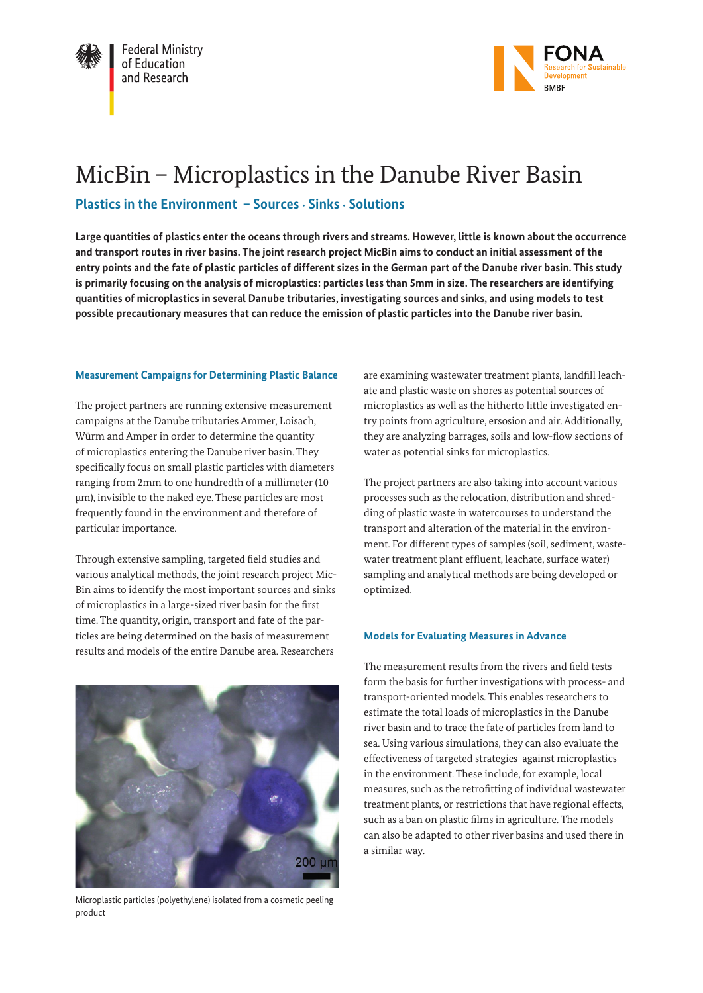



# MicBin – Microplastics in the Danube River Basin

# **Plastics in the Environment – Sources** • **Sinks** • **Solutions**

**Large quantities of plastics enter the oceans through rivers and streams. However, little is known about the occurrence and transport routes in river basins. The joint research project MicBin aims to conduct an initial assessment of the entry points and the fate of plastic particles of different sizes in the German part of the Danube river basin. This study is primarily focusing on the analysis of microplastics: particles less than 5mm in size. The researchers are identifying quantities of microplastics in several Danube tributaries, investigating sources and sinks, and using models to test possible precautionary measures that can reduce the emission of plastic particles into the Danube river basin.** 

# **Measurement Campaigns for Determining Plastic Balance**

The project partners are running extensive measurement campaigns at the Danube tributaries Ammer, Loisach, Würm and Amper in order to determine the quantity of microplastics entering the Danube river basin. They specifically focus on small plastic particles with diameters ranging from 2mm to one hundredth of a millimeter (10 µm), invisible to the naked eye. These particles are most frequently found in the environment and therefore of particular importance.

Through extensive sampling, targeted field studies and various analytical methods, the joint research project Mic-Bin aims to identify the most important sources and sinks of microplastics in a large-sized river basin for the first time. The quantity, origin, transport and fate of the particles are being determined on the basis of measurement results and models of the entire Danube area. Researchers



Microplastic particles (polyethylene) isolated from a cosmetic peeling product

are examining wastewater treatment plants, landfill leachate and plastic waste on shores as potential sources of microplastics as well as the hitherto little investigated entry points from agriculture, ersosion and air. Additionally, they are analyzing barrages, soils and low-flow sections of water as potential sinks for microplastics.

The project partners are also taking into account various processes such as the relocation, distribution and shredding of plastic waste in watercourses to understand the transport and alteration of the material in the environment. For different types of samples (soil, sediment, wastewater treatment plant effluent, leachate, surface water) sampling and analytical methods are being developed or optimized.

## **Models for Evaluating Measures in Advance**

The measurement results from the rivers and field tests form the basis for further investigations with process- and transport-oriented models. This enables researchers to estimate the total loads of microplastics in the Danube river basin and to trace the fate of particles from land to sea. Using various simulations, they can also evaluate the effectiveness of targeted strategies against microplastics in the environment. These include, for example, local measures, such as the retrofitting of individual wastewater treatment plants, or restrictions that have regional effects, such as a ban on plastic films in agriculture. The models can also be adapted to other river basins and used there in a similar way.